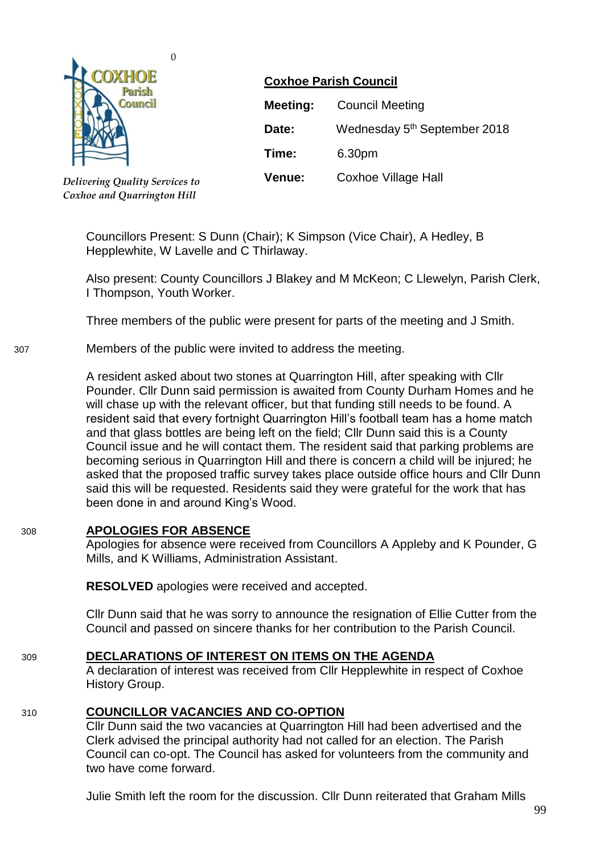

*Delivering Quality Services to Coxhoe and Quarrington Hill*

0

# **Coxhoe Parish Council**

| Meeting:      | <b>Council Meeting</b>                   |
|---------------|------------------------------------------|
| Date:         | Wednesday 5 <sup>th</sup> September 2018 |
| Time:         | 6.30pm                                   |
| <b>Venue:</b> | <b>Coxhoe Village Hall</b>               |

Councillors Present: S Dunn (Chair); K Simpson (Vice Chair), A Hedley, B Hepplewhite, W Lavelle and C Thirlaway.

Also present: County Councillors J Blakey and M McKeon; C Llewelyn, Parish Clerk, I Thompson, Youth Worker.

Three members of the public were present for parts of the meeting and J Smith.

### 307 Members of the public were invited to address the meeting.

A resident asked about two stones at Quarrington Hill, after speaking with Cllr Pounder. Cllr Dunn said permission is awaited from County Durham Homes and he will chase up with the relevant officer, but that funding still needs to be found. A resident said that every fortnight Quarrington Hill's football team has a home match and that glass bottles are being left on the field; Cllr Dunn said this is a County Council issue and he will contact them. The resident said that parking problems are becoming serious in Quarrington Hill and there is concern a child will be injured; he asked that the proposed traffic survey takes place outside office hours and Cllr Dunn said this will be requested. Residents said they were grateful for the work that has been done in and around King's Wood.

## 308 **APOLOGIES FOR ABSENCE**

Apologies for absence were received from Councillors A Appleby and K Pounder, G Mills, and K Williams, Administration Assistant.

**RESOLVED** apologies were received and accepted.

Cllr Dunn said that he was sorry to announce the resignation of Ellie Cutter from the Council and passed on sincere thanks for her contribution to the Parish Council.

## 309 **DECLARATIONS OF INTEREST ON ITEMS ON THE AGENDA**

A declaration of interest was received from Cllr Hepplewhite in respect of Coxhoe History Group.

## 310 **COUNCILLOR VACANCIES AND CO-OPTION**

Cllr Dunn said the two vacancies at Quarrington Hill had been advertised and the Clerk advised the principal authority had not called for an election. The Parish Council can co-opt. The Council has asked for volunteers from the community and two have come forward.

Julie Smith left the room for the discussion. Cllr Dunn reiterated that Graham Mills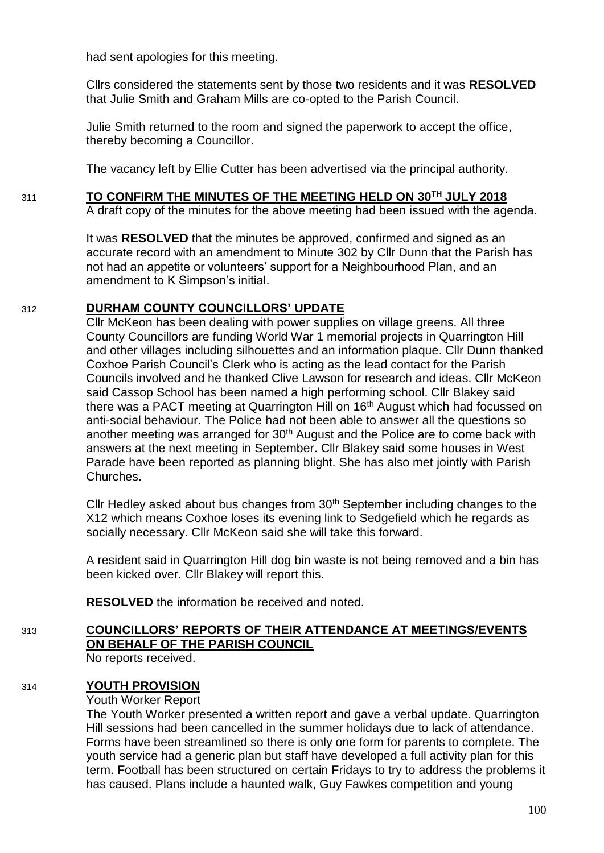had sent apologies for this meeting.

Cllrs considered the statements sent by those two residents and it was **RESOLVED**  that Julie Smith and Graham Mills are co-opted to the Parish Council.

Julie Smith returned to the room and signed the paperwork to accept the office, thereby becoming a Councillor.

The vacancy left by Ellie Cutter has been advertised via the principal authority.

## 311 **TO CONFIRM THE MINUTES OF THE MEETING HELD ON 30TH JULY 2018**

A draft copy of the minutes for the above meeting had been issued with the agenda.

It was **RESOLVED** that the minutes be approved, confirmed and signed as an accurate record with an amendment to Minute 302 by Cllr Dunn that the Parish has not had an appetite or volunteers' support for a Neighbourhood Plan, and an amendment to K Simpson's initial.

## 312 **DURHAM COUNTY COUNCILLORS' UPDATE**

Cllr McKeon has been dealing with power supplies on village greens. All three County Councillors are funding World War 1 memorial projects in Quarrington Hill and other villages including silhouettes and an information plaque. Cllr Dunn thanked Coxhoe Parish Council's Clerk who is acting as the lead contact for the Parish Councils involved and he thanked Clive Lawson for research and ideas. Cllr McKeon said Cassop School has been named a high performing school. Cllr Blakey said there was a PACT meeting at Quarrington Hill on 16th August which had focussed on anti-social behaviour. The Police had not been able to answer all the questions so another meeting was arranged for  $30<sup>th</sup>$  August and the Police are to come back with answers at the next meeting in September. Cllr Blakey said some houses in West Parade have been reported as planning blight. She has also met jointly with Parish Churches.

Cllr Hedley asked about bus changes from  $30<sup>th</sup>$  September including changes to the X12 which means Coxhoe loses its evening link to Sedgefield which he regards as socially necessary. Cllr McKeon said she will take this forward.

A resident said in Quarrington Hill dog bin waste is not being removed and a bin has been kicked over. Cllr Blakey will report this.

**RESOLVED** the information be received and noted.

# 313 **COUNCILLORS' REPORTS OF THEIR ATTENDANCE AT MEETINGS/EVENTS ON BEHALF OF THE PARISH COUNCIL**

No reports received.

## 314 **YOUTH PROVISION**

## Youth Worker Report

The Youth Worker presented a written report and gave a verbal update. Quarrington Hill sessions had been cancelled in the summer holidays due to lack of attendance. Forms have been streamlined so there is only one form for parents to complete. The youth service had a generic plan but staff have developed a full activity plan for this term. Football has been structured on certain Fridays to try to address the problems it has caused. Plans include a haunted walk, Guy Fawkes competition and young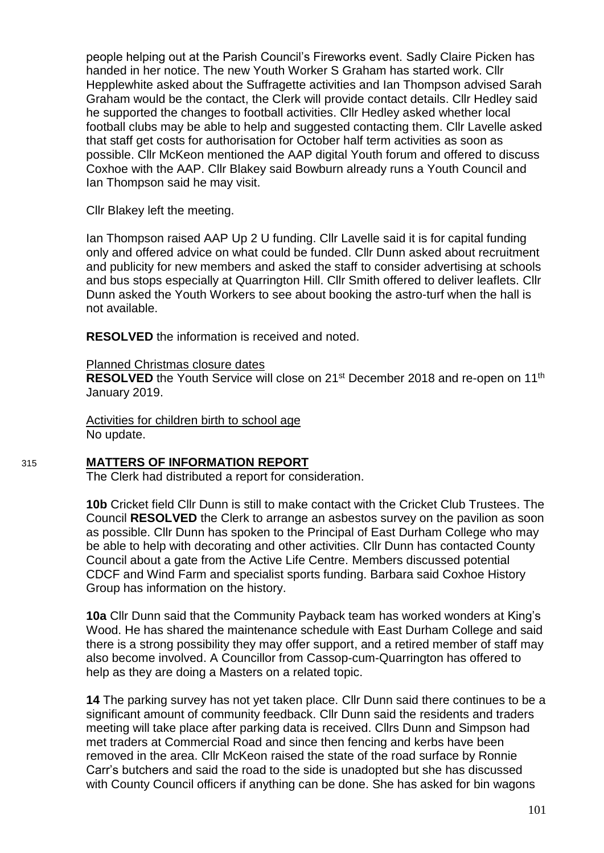people helping out at the Parish Council's Fireworks event. Sadly Claire Picken has handed in her notice. The new Youth Worker S Graham has started work. Cllr Hepplewhite asked about the Suffragette activities and Ian Thompson advised Sarah Graham would be the contact, the Clerk will provide contact details. Cllr Hedley said he supported the changes to football activities. Cllr Hedley asked whether local football clubs may be able to help and suggested contacting them. Cllr Lavelle asked that staff get costs for authorisation for October half term activities as soon as possible. Cllr McKeon mentioned the AAP digital Youth forum and offered to discuss Coxhoe with the AAP. Cllr Blakey said Bowburn already runs a Youth Council and Ian Thompson said he may visit.

Cllr Blakey left the meeting.

Ian Thompson raised AAP Up 2 U funding. Cllr Lavelle said it is for capital funding only and offered advice on what could be funded. Cllr Dunn asked about recruitment and publicity for new members and asked the staff to consider advertising at schools and bus stops especially at Quarrington Hill. Cllr Smith offered to deliver leaflets. Cllr Dunn asked the Youth Workers to see about booking the astro-turf when the hall is not available.

**RESOLVED** the information is received and noted.

#### Planned Christmas closure dates

**RESOLVED** the Youth Service will close on 21<sup>st</sup> December 2018 and re-open on 11<sup>th</sup> January 2019.

Activities for children birth to school age No update.

### 315 **MATTERS OF INFORMATION REPORT**

The Clerk had distributed a report for consideration.

**10b** Cricket field Cllr Dunn is still to make contact with the Cricket Club Trustees. The Council **RESOLVED** the Clerk to arrange an asbestos survey on the pavilion as soon as possible. Cllr Dunn has spoken to the Principal of East Durham College who may be able to help with decorating and other activities. Cllr Dunn has contacted County Council about a gate from the Active Life Centre. Members discussed potential CDCF and Wind Farm and specialist sports funding. Barbara said Coxhoe History Group has information on the history.

**10a** Cllr Dunn said that the Community Payback team has worked wonders at King's Wood. He has shared the maintenance schedule with East Durham College and said there is a strong possibility they may offer support, and a retired member of staff may also become involved. A Councillor from Cassop-cum-Quarrington has offered to help as they are doing a Masters on a related topic.

**14** The parking survey has not yet taken place. Cllr Dunn said there continues to be a significant amount of community feedback. Cllr Dunn said the residents and traders meeting will take place after parking data is received. Cllrs Dunn and Simpson had met traders at Commercial Road and since then fencing and kerbs have been removed in the area. Cllr McKeon raised the state of the road surface by Ronnie Carr's butchers and said the road to the side is unadopted but she has discussed with County Council officers if anything can be done. She has asked for bin wagons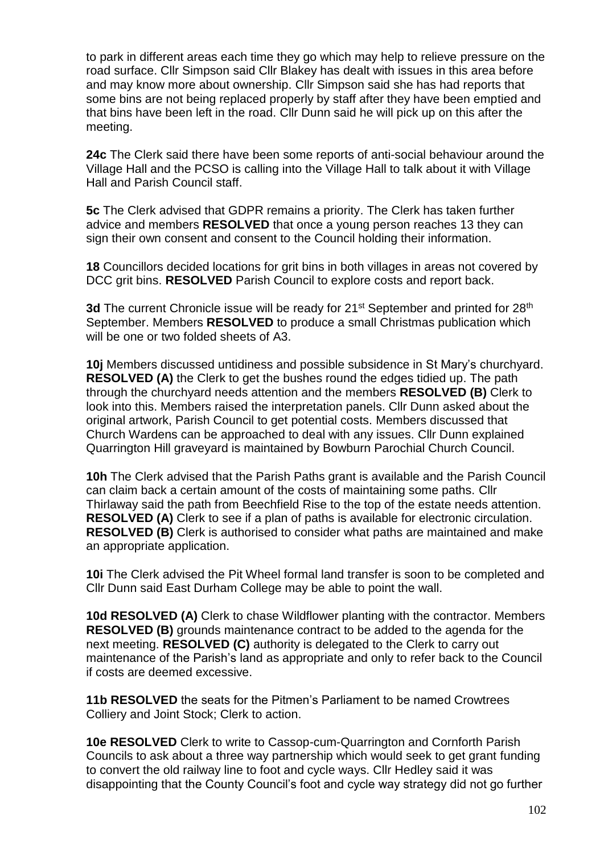to park in different areas each time they go which may help to relieve pressure on the road surface. Cllr Simpson said Cllr Blakey has dealt with issues in this area before and may know more about ownership. Cllr Simpson said she has had reports that some bins are not being replaced properly by staff after they have been emptied and that bins have been left in the road. Cllr Dunn said he will pick up on this after the meeting.

**24c** The Clerk said there have been some reports of anti-social behaviour around the Village Hall and the PCSO is calling into the Village Hall to talk about it with Village Hall and Parish Council staff.

**5c** The Clerk advised that GDPR remains a priority. The Clerk has taken further advice and members **RESOLVED** that once a young person reaches 13 they can sign their own consent and consent to the Council holding their information.

**18** Councillors decided locations for grit bins in both villages in areas not covered by DCC grit bins. **RESOLVED** Parish Council to explore costs and report back.

3d The current Chronicle issue will be ready for 21<sup>st</sup> September and printed for 28<sup>th</sup> September. Members **RESOLVED** to produce a small Christmas publication which will be one or two folded sheets of A3.

**10j** Members discussed untidiness and possible subsidence in St Mary's churchyard. **RESOLVED (A)** the Clerk to get the bushes round the edges tidied up. The path through the churchyard needs attention and the members **RESOLVED (B)** Clerk to look into this. Members raised the interpretation panels. Cllr Dunn asked about the original artwork, Parish Council to get potential costs. Members discussed that Church Wardens can be approached to deal with any issues. Cllr Dunn explained Quarrington Hill graveyard is maintained by Bowburn Parochial Church Council.

**10h** The Clerk advised that the Parish Paths grant is available and the Parish Council can claim back a certain amount of the costs of maintaining some paths. Cllr Thirlaway said the path from Beechfield Rise to the top of the estate needs attention. **RESOLVED (A)** Clerk to see if a plan of paths is available for electronic circulation. **RESOLVED (B)** Clerk is authorised to consider what paths are maintained and make an appropriate application.

**10i** The Clerk advised the Pit Wheel formal land transfer is soon to be completed and Cllr Dunn said East Durham College may be able to point the wall.

**10d RESOLVED (A)** Clerk to chase Wildflower planting with the contractor. Members **RESOLVED (B)** grounds maintenance contract to be added to the agenda for the next meeting. **RESOLVED (C)** authority is delegated to the Clerk to carry out maintenance of the Parish's land as appropriate and only to refer back to the Council if costs are deemed excessive.

**11b RESOLVED** the seats for the Pitmen's Parliament to be named Crowtrees Colliery and Joint Stock; Clerk to action.

**10e RESOLVED** Clerk to write to Cassop-cum-Quarrington and Cornforth Parish Councils to ask about a three way partnership which would seek to get grant funding to convert the old railway line to foot and cycle ways. Cllr Hedley said it was disappointing that the County Council's foot and cycle way strategy did not go further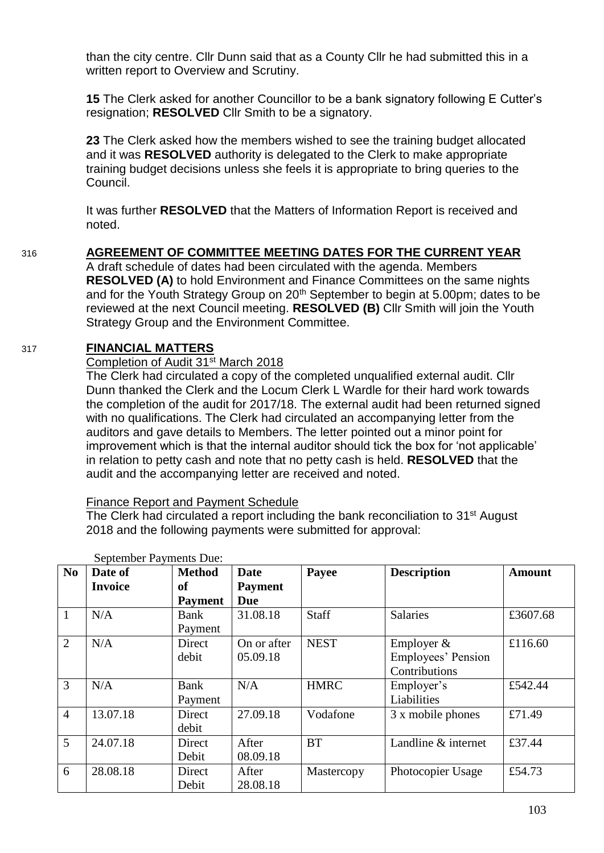than the city centre. Cllr Dunn said that as a County Cllr he had submitted this in a written report to Overview and Scrutiny.

**15** The Clerk asked for another Councillor to be a bank signatory following E Cutter's resignation; **RESOLVED** Cllr Smith to be a signatory.

**23** The Clerk asked how the members wished to see the training budget allocated and it was **RESOLVED** authority is delegated to the Clerk to make appropriate training budget decisions unless she feels it is appropriate to bring queries to the Council.

It was further **RESOLVED** that the Matters of Information Report is received and noted.

# 316 **AGREEMENT OF COMMITTEE MEETING DATES FOR THE CURRENT YEAR**

A draft schedule of dates had been circulated with the agenda. Members **RESOLVED (A)** to hold Environment and Finance Committees on the same nights and for the Youth Strategy Group on 20<sup>th</sup> September to begin at 5.00pm; dates to be reviewed at the next Council meeting. **RESOLVED (B)** Cllr Smith will join the Youth Strategy Group and the Environment Committee.

## 317 **FINANCIAL MATTERS**

## Completion of Audit 31st March 2018

The Clerk had circulated a copy of the completed unqualified external audit. Cllr Dunn thanked the Clerk and the Locum Clerk L Wardle for their hard work towards the completion of the audit for 2017/18. The external audit had been returned signed with no qualifications. The Clerk had circulated an accompanying letter from the auditors and gave details to Members. The letter pointed out a minor point for improvement which is that the internal auditor should tick the box for 'not applicable' in relation to petty cash and note that no petty cash is held. **RESOLVED** that the audit and the accompanying letter are received and noted.

### Finance Report and Payment Schedule

The Clerk had circulated a report including the bank reconciliation to 31<sup>st</sup> August 2018 and the following payments were submitted for approval:

| N <sub>0</sub> | Date of        | <b>Method</b>  | <b>Date</b>    | Payee       | <b>Description</b>  | <b>Amount</b> |
|----------------|----------------|----------------|----------------|-------------|---------------------|---------------|
|                | <b>Invoice</b> | of             | <b>Payment</b> |             |                     |               |
|                |                | <b>Payment</b> | <b>Due</b>     |             |                     |               |
| $\mathbf{1}$   | N/A            | Bank           | 31.08.18       | Staff       | <b>Salaries</b>     | £3607.68      |
|                |                | Payment        |                |             |                     |               |
| 2              | N/A            | Direct         | On or after    | <b>NEST</b> | Employer &          | £116.60       |
|                |                | debit          | 05.09.18       |             | Employees' Pension  |               |
|                |                |                |                |             | Contributions       |               |
| 3              | N/A            | Bank           | N/A            | <b>HMRC</b> | Employer's          | £542.44       |
|                |                | Payment        |                |             | Liabilities         |               |
| $\overline{4}$ | 13.07.18       | Direct         | 27.09.18       | Vodafone    | 3 x mobile phones   | £71.49        |
|                |                | debit          |                |             |                     |               |
| 5              | 24.07.18       | Direct         | After          | <b>BT</b>   | Landline & internet | £37.44        |
|                |                | Debit          | 08.09.18       |             |                     |               |
| 6              | 28.08.18       | Direct         | After          | Mastercopy  | Photocopier Usage   | £54.73        |
|                |                | Debit          | 28.08.18       |             |                     |               |

September Payments Due: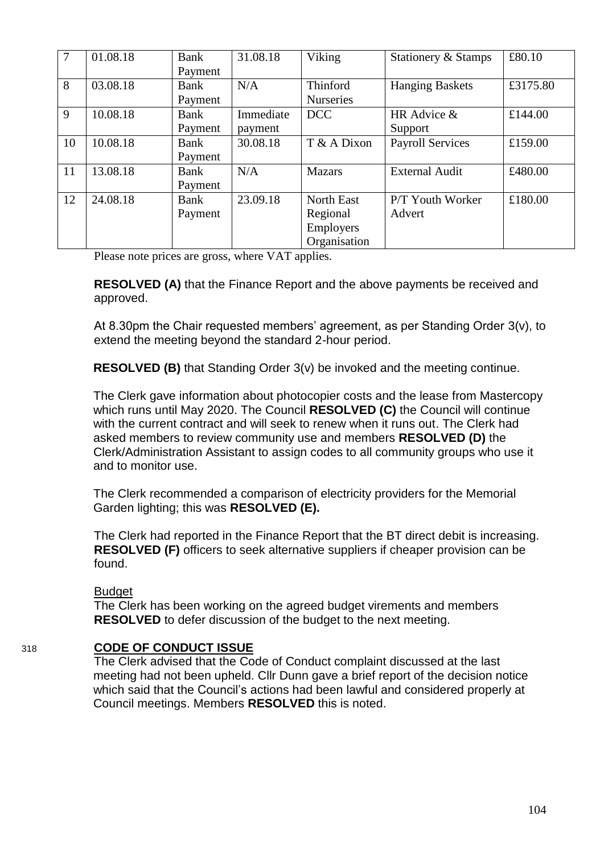| $\overline{7}$ | 01.08.18 | Bank<br>Payment | 31.08.18             | Viking                                                     | Stationery & Stamps        | £80.10   |
|----------------|----------|-----------------|----------------------|------------------------------------------------------------|----------------------------|----------|
| 8              | 03.08.18 | Bank<br>Payment | N/A                  | Thinford<br><b>Nurseries</b>                               | <b>Hanging Baskets</b>     | £3175.80 |
| 9              | 10.08.18 | Bank<br>Payment | Immediate<br>payment | <b>DCC</b>                                                 | HR Advice &<br>Support     | £144.00  |
| 10             | 10.08.18 | Bank<br>Payment | 30.08.18             | T & A Dixon                                                | <b>Payroll Services</b>    | £159.00  |
| 11             | 13.08.18 | Bank<br>Payment | N/A                  | <b>Mazars</b>                                              | <b>External Audit</b>      | £480.00  |
| 12             | 24.08.18 | Bank<br>Payment | 23.09.18             | <b>North East</b><br>Regional<br>Employers<br>Organisation | P/T Youth Worker<br>Advert | £180.00  |

Please note prices are gross, where VAT applies.

**RESOLVED (A)** that the Finance Report and the above payments be received and approved.

At 8.30pm the Chair requested members' agreement, as per Standing Order 3(v), to extend the meeting beyond the standard 2-hour period.

**RESOLVED (B)** that Standing Order 3(v) be invoked and the meeting continue.

The Clerk gave information about photocopier costs and the lease from Mastercopy which runs until May 2020. The Council **RESOLVED (C)** the Council will continue with the current contract and will seek to renew when it runs out. The Clerk had asked members to review community use and members **RESOLVED (D)** the Clerk/Administration Assistant to assign codes to all community groups who use it and to monitor use.

The Clerk recommended a comparison of electricity providers for the Memorial Garden lighting; this was **RESOLVED (E).**

The Clerk had reported in the Finance Report that the BT direct debit is increasing. **RESOLVED (F)** officers to seek alternative suppliers if cheaper provision can be found.

### Budget

The Clerk has been working on the agreed budget virements and members **RESOLVED** to defer discussion of the budget to the next meeting.

## 318 **CODE OF CONDUCT ISSUE**

The Clerk advised that the Code of Conduct complaint discussed at the last meeting had not been upheld. Cllr Dunn gave a brief report of the decision notice which said that the Council's actions had been lawful and considered properly at Council meetings. Members **RESOLVED** this is noted.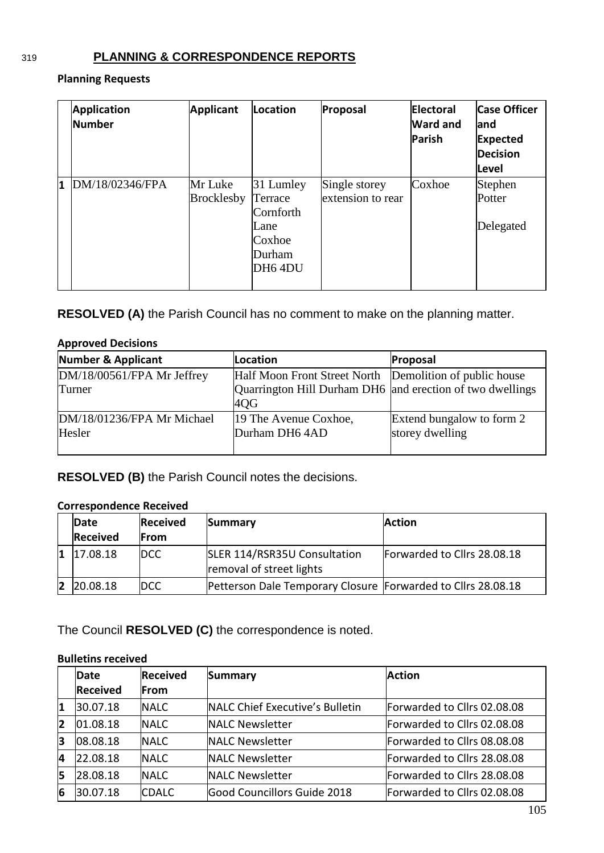# 319 **PLANNING & CORRESPONDENCE REPORTS**

### **Planning Requests**

|   | <b>Application</b><br>Number | <b>Applicant</b>             | Location                                                                 | Proposal                           | Electoral<br><b>Ward and</b><br>Parish | <b>Case Officer</b><br>land<br>Expected<br><b>Decision</b><br><b>Level</b> |
|---|------------------------------|------------------------------|--------------------------------------------------------------------------|------------------------------------|----------------------------------------|----------------------------------------------------------------------------|
| 1 | DM/18/02346/FPA              | Mr Luke<br><b>Brocklesby</b> | 31 Lumley<br>Terrace<br>Cornforth<br>Lane<br>Coxhoe<br>Durham<br>DH6 4DU | Single storey<br>extension to rear | Coxhoe                                 | Stephen<br>Potter<br>Delegated                                             |

**RESOLVED (A)** the Parish Council has no comment to make on the planning matter.

# **Approved Decisions**

| <b>Number &amp; Applicant</b>        | Location                                                         | Proposal                                     |
|--------------------------------------|------------------------------------------------------------------|----------------------------------------------|
| DM/18/00561/FPA Mr Jeffrey           | Half Moon Front Street North Demolition of public house          |                                              |
| Turner                               | Quarrington Hill Durham DH6 and erection of two dwellings<br>4QG |                                              |
| DM/18/01236/FPA Mr Michael<br>Hesler | 19 The Avenue Coxhoe,<br>Durham DH6 4AD                          | Extend bungalow to form 2<br>storey dwelling |

**RESOLVED (B)** the Parish Council notes the decisions.

## **Correspondence Received**

| Date            | <b>Received</b> | Summary                                                      | <b>Action</b>               |
|-----------------|-----------------|--------------------------------------------------------------|-----------------------------|
| <b>Received</b> | <b>IFrom</b>    |                                                              |                             |
| 17.08.18        | <b>IDCC</b>     | SLER 114/RSR35U Consultation<br>removal of street lights     | Forwarded to Cllrs 28.08.18 |
| 20.08.18        | <b>DCC</b>      | Petterson Dale Temporary Closure Forwarded to Cllrs 28.08.18 |                             |

The Council **RESOLVED (C)** the correspondence is noted.

### **Bulletins received**

|    | <b>Received</b><br>Date |              | Summary                         | <b>Action</b>               |  |
|----|-------------------------|--------------|---------------------------------|-----------------------------|--|
|    | <b>Received</b>         | <b>From</b>  |                                 |                             |  |
| '1 | 30.07.18                | <b>INALC</b> | NALC Chief Executive's Bulletin | Forwarded to Cllrs 02.08.08 |  |
| 12 | 01.08.18                | <b>NALC</b>  | <b>NALC Newsletter</b>          | Forwarded to Cllrs 02.08.08 |  |
| 3  | 08.08.18                | <b>INALC</b> | <b>NALC Newsletter</b>          | Forwarded to Cllrs 08.08.08 |  |
| 4  | 22.08.18                | <b>NALC</b>  | <b>NALC Newsletter</b>          | Forwarded to Cllrs 28.08.08 |  |
| 5  | 28.08.18                | <b>NALC</b>  | <b>NALC Newsletter</b>          | Forwarded to Cllrs 28.08.08 |  |
| 6  | 30.07.18                | <b>CDALC</b> | Good Councillors Guide 2018     | Forwarded to Cllrs 02.08.08 |  |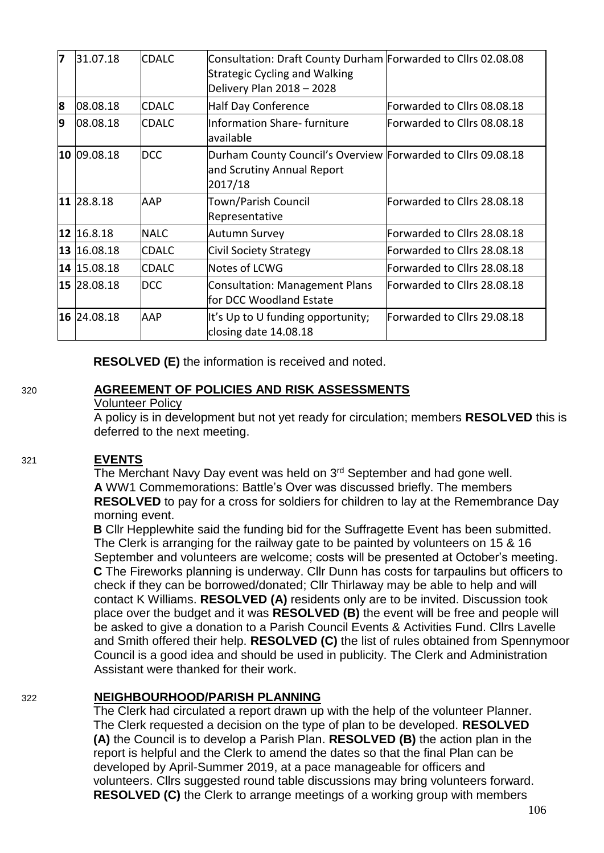| 7 | 31.07.18      | <b>CDALC</b>  | Consultation: Draft County Durham Forwarded to Cllrs 02.08.08<br><b>Strategic Cycling and Walking</b><br>Delivery Plan 2018 - 2028 |                             |
|---|---------------|---------------|------------------------------------------------------------------------------------------------------------------------------------|-----------------------------|
| 8 | 08.08.18      | <b>ICDALC</b> | Half Day Conference                                                                                                                | Forwarded to Cllrs 08.08.18 |
| 9 | 08.08.18      | <b>CDALC</b>  | Information Share- furniture<br>lavailable                                                                                         | Forwarded to Cllrs 08.08.18 |
|   | $10$ 09.08.18 | <b>DCC</b>    | Durham County Council's Overview Forwarded to Cllrs 09.08.18<br>and Scrutiny Annual Report<br>2017/18                              |                             |
|   | 11 28.8.18    | AAP           | Town/Parish Council<br>Representative                                                                                              | Forwarded to Cllrs 28.08.18 |
|   | 12 16.8.18    | <b>NALC</b>   | Autumn Survey                                                                                                                      | Forwarded to Cllrs 28.08.18 |
|   | 13 16.08.18   | <b>ICDALC</b> | Civil Society Strategy                                                                                                             | Forwarded to Cllrs 28.08.18 |
|   | 14 15.08.18   | <b>CDALC</b>  | Notes of LCWG                                                                                                                      | Forwarded to Cllrs 28.08.18 |
|   | 15 28.08.18   | <b>DCC</b>    | <b>Consultation: Management Plans</b><br>for DCC Woodland Estate                                                                   | Forwarded to Cllrs 28.08.18 |
|   | 16 24.08.18   | <b>AAP</b>    | It's Up to U funding opportunity;<br>closing date 14.08.18                                                                         | Forwarded to Cllrs 29.08.18 |

**RESOLVED (E)** the information is received and noted.

## 320 **AGREEMENT OF POLICIES AND RISK ASSESSMENTS**

### Volunteer Policy

A policy is in development but not yet ready for circulation; members **RESOLVED** this is deferred to the next meeting.

### 321 **EVENTS**

The Merchant Navy Day event was held on 3<sup>rd</sup> September and had gone well. **A** WW1 Commemorations: Battle's Over was discussed briefly. The members **RESOLVED** to pay for a cross for soldiers for children to lay at the Remembrance Day morning event.

**B** Cllr Hepplewhite said the funding bid for the Suffragette Event has been submitted. The Clerk is arranging for the railway gate to be painted by volunteers on 15 & 16 September and volunteers are welcome; costs will be presented at October's meeting. **C** The Fireworks planning is underway. Cllr Dunn has costs for tarpaulins but officers to check if they can be borrowed/donated; Cllr Thirlaway may be able to help and will contact K Williams. **RESOLVED (A)** residents only are to be invited. Discussion took place over the budget and it was **RESOLVED (B)** the event will be free and people will be asked to give a donation to a Parish Council Events & Activities Fund. Cllrs Lavelle and Smith offered their help. **RESOLVED (C)** the list of rules obtained from Spennymoor Council is a good idea and should be used in publicity. The Clerk and Administration Assistant were thanked for their work.

## 322 **NEIGHBOURHOOD/PARISH PLANNING**

The Clerk had circulated a report drawn up with the help of the volunteer Planner. The Clerk requested a decision on the type of plan to be developed. **RESOLVED (A)** the Council is to develop a Parish Plan. **RESOLVED (B)** the action plan in the report is helpful and the Clerk to amend the dates so that the final Plan can be developed by April-Summer 2019, at a pace manageable for officers and volunteers. Cllrs suggested round table discussions may bring volunteers forward. **RESOLVED (C)** the Clerk to arrange meetings of a working group with members